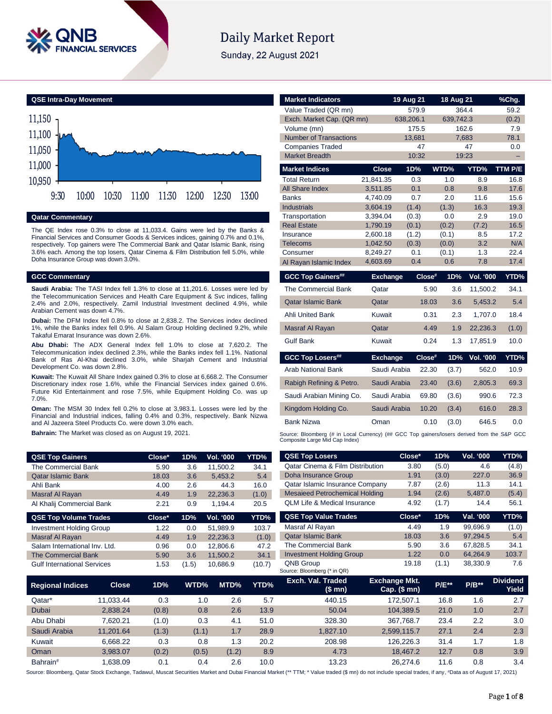

# **Daily Market Report**

Sunday, 22 August 2021



### **Qatar Commentary**

The QE Index rose 0.3% to close at 11,033.4. Gains were led by the Banks & Financial Services and Consumer Goods & Services indices, gaining 0.7% and 0.1%, respectively. Top gainers were The Commercial Bank and Qatar Islamic Bank, rising 3.6% each. Among the top losers, Qatar Cinema & Film Distribution fell 5.0%, while Doha Insurance Group was down 3.0%.

### **GCC Commentary**

**Saudi Arabia:** The TASI Index fell 1.3% to close at 11,201.6. Losses were led by the Telecommunication Services and Health Care Equipment & Svc indices, falling 2.4% and 2.0%, respectively. Zamil Industrial Investment declined 4.9%, while Arabian Cement was down 4.7%.

**Dubai:** The DFM Index fell 0.8% to close at 2,838.2. The Services index declined 1%, while the Banks index fell 0.9%. Al Salam Group Holding declined 9.2%, while Takaful Emarat Insurance was down 2.6%.

**Abu Dhabi:** The ADX General Index fell 1.0% to close at 7,620.2. The Telecommunication index declined 2.3%, while the Banks index fell 1.1%. National Bank of Ras Al-Khai declined 3.0%, while Sharjah Cement and Industrial Development Co. was down 2.8%.

**Kuwait:** The Kuwait All Share Index gained 0.3% to close at 6,668.2. The Consumer Discretionary index rose 1.6%, while the Financial Services index gained 0.6%. Future Kid Entertainment and rose 7.5%, while Equipment Holding Co. was up 7.0%.

**Oman:** The MSM 30 Index fell 0.2% to close at 3,983.1. Losses were led by the Financial and Industrial indices, falling 0.4% and 0.3%, respectively. Bank Nizwa and Al Jazeera Steel Products Co. were down 3.0% each.

**Bahrain:** The Market was closed as on August 19, 2021.

| <b>QSE Top Gainers</b>                  | Close* | 1D%   | <b>Vol. '000</b> | YTD%   | <b>QSE Top Losers</b>                           |
|-----------------------------------------|--------|-------|------------------|--------|-------------------------------------------------|
| The Commercial Bank                     | 5.90   | 3.6   | 11.500.2         | 34.1   | Qatar Cinema & Film                             |
| <b>Qatar Islamic Bank</b>               | 18.03  | 3.6   | 5.453.2          | 5.4    | Doha Insurance Grou                             |
| Ahli Bank                               | 4.00   | 2.6   | 44.3             | 16.0   | Qatar Islamic Insuran                           |
| Masraf Al Rayan                         | 4.49   | 1.9   | 22.236.3         | (1.0)  | <b>Mesaieed Petrochem</b>                       |
| Al Khalij Commercial Bank               | 2.21   | 0.9   | 1.194.4          | 20.5   | <b>QLM Life &amp; Medical In</b>                |
| <b>QSE Top Volume Trades</b>            | Close* | 1D%   | <b>Vol. '000</b> | YTD%   | <b>QSE Top Value Trad</b>                       |
| <b>Investment Holding Group</b>         | 1.22   | 0.0   | 51.989.9         | 103.7  | Masraf Al Rayan                                 |
| Masraf Al Rayan                         | 4.49   | 1.9   | 22.236.3         | (1.0)  | <b>Qatar Islamic Bank</b>                       |
| Salam International Inv. Ltd.           | 0.96   | 0.0   | 12,806.6         | 47.2   | The Commercial Ban                              |
| The Commercial Bank                     | 5.90   | 3.6   | 11.500.2         | 34.1   | <b>Investment Holding G</b>                     |
| <b>Gulf International Services</b>      | 1.53   | (1.5) | 10,686.9         | (10.7) | <b>QNB Group</b><br>Source: Bloomberg (* in QR) |
| <b>Close</b><br><b>Regional Indices</b> | 1D%    | WTD%  | MTD%             | YTD%   | Exch. Val. Traded<br>$(0 \text{ mm})$           |

| <b>Market Indicators</b>                                                                                                      |                      | 19 Aug 21      |           | 18 Aug 21      |                  | %Chg.       |
|-------------------------------------------------------------------------------------------------------------------------------|----------------------|----------------|-----------|----------------|------------------|-------------|
| Value Traded (QR mn)                                                                                                          |                      | 579.9          |           |                | 364.4            | 59.2        |
| Exch. Market Cap. (QR mn)                                                                                                     |                      | 638,206.1      |           | 639,742.3      |                  | (0.2)       |
| Volume (mn)                                                                                                                   |                      | 175.5          |           |                | 162.6            | 7.9         |
| <b>Number of Transactions</b>                                                                                                 |                      | 13.681         |           |                | 7.683            | 78.1        |
| <b>Companies Traded</b>                                                                                                       |                      | 47             |           |                | 47               | 0.0         |
| <b>Market Breadth</b>                                                                                                         |                      | 10:32          |           |                | 19:23            |             |
| <b>Market Indices</b>                                                                                                         | <b>Close</b>         | 1D%            |           | WTD%           | YTD%             | TTM P/E     |
| <b>Total Return</b>                                                                                                           | 21.841.35            | 0.3            |           | 1.0            | 8.9              | 16.8        |
| <b>All Share Index</b>                                                                                                        | 3,511.85             | 0.1            |           | 0.8            | 9.8              | 17.6        |
| <b>Banks</b>                                                                                                                  | 4,740.09             | 0.7            |           | 2.0            | 11.6             | 15.6        |
| <b>Industrials</b>                                                                                                            | 3,604.19             | (1.4)          |           | (1.3)          | 16.3             | 19.3        |
| Transportation                                                                                                                | 3,394.04             | (0.3)          |           | 0.0            | 2.9              | 19.0        |
| <b>Real Estate</b>                                                                                                            | 1,790.19             | (0.1)          |           | (0.2)          | (7.2)            | 16.5        |
| Insurance<br>Telecoms                                                                                                         | 2.600.18<br>1,042.50 | (1.2)<br>(0.3) |           | (0.1)<br>(0.0) | 8.5<br>3.2       | 17.2<br>N/A |
| Consumer                                                                                                                      | 8,249.27             | 0.1            |           | (0.1)          | 1.3              | 22.4        |
| Al Rayan Islamic Index                                                                                                        | 4,603.69             | 0.4            |           | 0.6            | 7.8              | 17.4        |
|                                                                                                                               |                      |                |           |                |                  |             |
| <b>GCC Top Gainers##</b>                                                                                                      | <b>Exchange</b>      |                | $Close^*$ | 1D%            | <b>Vol. '000</b> | YTD%        |
| The Commercial Bank                                                                                                           | Qatar                |                | 5.90      | 3.6            | 11,500.2         | 34.1        |
| <b>Qatar Islamic Bank</b>                                                                                                     | Qatar                |                | 18.03     | 3.6            | 5,453.2          | 5.4         |
| <b>Ahli United Bank</b>                                                                                                       | Kuwait               |                | 0.31      | 2.3            | 1.707.0          | 18.4        |
| Masraf Al Rayan                                                                                                               | Qatar                |                | 4.49      | 1.9            | 22,236.3         | (1.0)       |
| Gulf Bank                                                                                                                     | Kuwait               |                | 0.24      | 1.3            | 17,851.9         | 10.0        |
| <b>GCC Top Losers##</b>                                                                                                       | <b>Exchange</b>      |                | Close#    | 1D%            | <b>Vol. '000</b> | YTD%        |
| Arab National Bank                                                                                                            | Saudi Arabia         |                | 22.30     | (3.7)          | 562.0            | 10.9        |
| Rabigh Refining & Petro.                                                                                                      | Saudi Arabia         |                | 23.40     | (3.6)          | 2,805.3          | 69.3        |
| Saudi Arabian Mining Co.                                                                                                      | Saudi Arabia         |                | 69.80     | (3.6)          | 990.6            | 72.3        |
| Kingdom Holding Co.                                                                                                           | Saudi Arabia         |                | 10.20     | (3.4)          | 616.0            | 28.3        |
| <b>Bank Nizwa</b>                                                                                                             | Oman                 |                | 0.10      | (3.0)          | 646.5            | 0.0         |
| Source: Bloomberg (# in Local Currency) (## GCC Top gainers/losers derived from the S&P GCC<br>Composite Large Mid Cap Index) |                      |                |           |                |                  |             |

| <b>QSE Top Gainers</b>             |              | Close* | 1D%   | Vol. '000  | YTD%   | <b>QSE Top Losers</b>                                                                                                                                                                                   | Close*                               | 1D%     | Vol. '000 | <b>YTD%</b>              |
|------------------------------------|--------------|--------|-------|------------|--------|---------------------------------------------------------------------------------------------------------------------------------------------------------------------------------------------------------|--------------------------------------|---------|-----------|--------------------------|
| The Commercial Bank                |              | 5.90   | 3.6   | 11,500.2   | 34.1   | Qatar Cinema & Film Distribution                                                                                                                                                                        | 3.80                                 | (5.0)   | 4.6       | (4.8)                    |
| <b>Qatar Islamic Bank</b>          |              | 18.03  | 3.6   | 5,453.2    | 5.4    | Doha Insurance Group                                                                                                                                                                                    | 1.91                                 | (3.0)   | 227.0     | 36.9                     |
| Ahli Bank                          |              | 4.00   | 2.6   | 44.3       | 16.0   | Qatar Islamic Insurance Company                                                                                                                                                                         | 7.87                                 | (2.6)   | 11.3      | 14.1                     |
| Masraf Al Rayan                    |              | 4.49   | 1.9   | 22,236.3   | (1.0)  | <b>Mesaieed Petrochemical Holding</b>                                                                                                                                                                   | 1.94                                 | (2.6)   | 5,487.0   | (5.4)                    |
| Al Khalij Commercial Bank          |              | 2.21   | 0.9   | 1,194.4    | 20.5   | <b>QLM Life &amp; Medical Insurance</b>                                                                                                                                                                 | 4.92                                 | (1.7)   | 14.4      | 56.1                     |
| <b>QSE Top Volume Trades</b>       |              | Close* | 1D%   | Vol. '000  | YTD%   | <b>QSE Top Value Trades</b>                                                                                                                                                                             | Close*                               | 1D%     | Val. '000 | YTD%                     |
| <b>Investment Holding Group</b>    |              | 1.22   | 0.0   | 51,989.9   | 103.7  | Masraf Al Rayan                                                                                                                                                                                         | 4.49                                 | 1.9     | 99,696.9  | (1.0)                    |
| Masraf Al Rayan                    |              | 4.49   | 1.9   | 22,236.3   | (1.0)  | <b>Qatar Islamic Bank</b>                                                                                                                                                                               | 18.03                                | 3.6     | 97,294.5  | 5.4                      |
| Salam International Inv. Ltd.      |              | 0.96   | 0.0   | 12,806.6   | 47.2   | The Commercial Bank                                                                                                                                                                                     | 5.90                                 | 3.6     | 67,828.5  | 34.1                     |
| <b>The Commercial Bank</b>         |              | 5.90   | 3.6   | 11,500.2   | 34.1   | <b>Investment Holding Group</b>                                                                                                                                                                         | 1.22                                 | 0.0     | 64,264.9  | 103.7                    |
| <b>Gulf International Services</b> |              | 1.53   | (1.5) | 10,686.9   | (10.7) | <b>QNB Group</b>                                                                                                                                                                                        | 19.18                                | (1.1)   | 38,330.9  | 7.6                      |
|                                    |              |        |       |            |        | Source: Bloomberg (* in QR)                                                                                                                                                                             |                                      |         |           |                          |
| <b>Regional Indices</b>            | <b>Close</b> | 1D%    | WTD%  | MTD%       | YTD%   | Exch. Val. Traded<br>(\$mn)                                                                                                                                                                             | <b>Exchange Mkt.</b><br>Cap. $($mn)$ | $P/E**$ | $P/B**$   | <b>Dividend</b><br>Yield |
| Qatar*                             | 11,033.44    | 0.3    |       | 1.0<br>2.6 | 5.7    | 440.15                                                                                                                                                                                                  | 172,507.1                            | 16.8    | 1.6       | 2.7                      |
| Dubai                              | 2,838.24     | (0.8)  |       | 0.8<br>2.6 | 13.9   | 50.04                                                                                                                                                                                                   | 104,389.5                            | 21.0    | 1.0       | 2.7                      |
| Abu Dhabi                          | 7,620.21     | (1.0)  |       | 0.3<br>4.1 | 51.0   | 328.30                                                                                                                                                                                                  | 367,768.7                            | 23.4    | 2.2       | 3.0                      |
| Saudi Arabia                       | 11,201.64    | (1.3)  | (1.1) | 1.7        | 28.9   | 1,827.10                                                                                                                                                                                                | 2,599,115.7                          | 27.1    | 2.4       | 2.3                      |
| Kuwait                             | 6,668.22     | 0.3    |       | 0.8<br>1.3 | 20.2   | 208.98                                                                                                                                                                                                  | 126,226.3                            | 31.4    | 1.7       | 1.8                      |
| Oman                               | 3,983.07     | (0.2)  | (0.5) | (1.2)      | 8.9    | 4.73                                                                                                                                                                                                    | 18,467.2                             | 12.7    | 0.8       | 3.9                      |
| Bahrain#                           | 1,638.09     | 0.1    |       | 0.4<br>2.6 | 10.0   | 13.23                                                                                                                                                                                                   | 26,274.6                             | 11.6    | 0.8       | 3.4                      |
|                                    |              |        |       |            |        | urce: Bloomberg, Qatar Stock Exchange, Tadawul, Muscat Securities Market and Dubai Financial Market (** TTM; * Value traded (\$ mn) do not include special trades, if any, #Data as of August 17, 2021) |                                      |         |           |                          |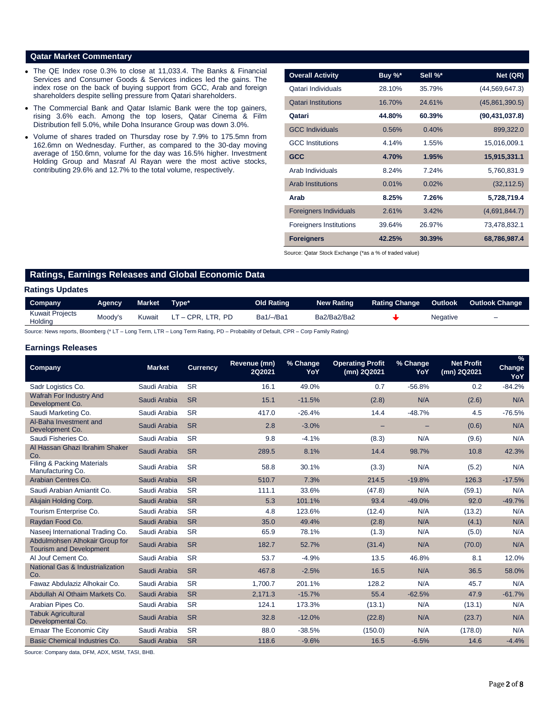## **Qatar Market Commentary**

- The QE Index rose 0.3% to close at 11,033.4. The Banks & Financial Services and Consumer Goods & Services indices led the gains. The index rose on the back of buying support from GCC, Arab and foreign shareholders despite selling pressure from Qatari shareholders.
- The Commercial Bank and Qatar Islamic Bank were the top gainers, rising 3.6% each. Among the top losers, Qatar Cinema & Film Distribution fell 5.0%, while Doha Insurance Group was down 3.0%.
- Volume of shares traded on Thursday rose by 7.9% to 175.5mn from 162.6mn on Wednesday. Further, as compared to the 30-day moving average of 150.6mn, volume for the day was 16.5% higher. Investment Holding Group and Masraf Al Rayan were the most active stocks, contributing 29.6% and 12.7% to the total volume, respectively.

| <b>Overall Activity</b>        | Buy %* | Sell %* | Net (QR)         |
|--------------------------------|--------|---------|------------------|
| Qatari Individuals             | 28.10% | 35.79%  | (44, 569, 647.3) |
| <b>Qatari Institutions</b>     | 16.70% | 24.61%  | (45,861,390.5)   |
| Qatari                         | 44.80% | 60.39%  | (90, 431, 037.8) |
| <b>GCC Individuals</b>         | 0.56%  | 0.40%   | 899,322.0        |
| <b>GCC</b> Institutions        | 4.14%  | 1.55%   | 15,016,009.1     |
| <b>GCC</b>                     | 4.70%  | 1.95%   | 15,915,331.1     |
| Arab Individuals               | 8.24%  | 7.24%   | 5,760,831.9      |
| <b>Arab Institutions</b>       | 0.01%  | 0.02%   | (32, 112.5)      |
| Arab                           | 8.25%  | 7.26%   | 5,728,719.4      |
| <b>Foreigners Individuals</b>  | 2.61%  | 3.42%   | (4,691,844.7)    |
| <b>Foreigners Institutions</b> | 39.64% | 26.97%  | 73,478,832.1     |
| <b>Foreigners</b>              | 42.25% | 30.39%  | 68,786,987.4     |

Source: Qatar Stock Exchange (\*as a % of traded value)

# **Ratings, Earnings Releases and Global Economic Data**

## **Ratings Updates**

| Company                           | <b>A</b> dency | Market | Tvpe*             | Old Rating  | <b>New Rating</b> | <b>Rating Change</b> | <b>Outlook</b>  | <b>Outlook Change</b> |
|-----------------------------------|----------------|--------|-------------------|-------------|-------------------|----------------------|-----------------|-----------------------|
| <b>Kuwait Projects</b><br>Holding | Moody's        | Kuwait | LT – CPR. LTR. PD | $Ba1/-/Ba1$ | Ba2/Ba2/Ba2       |                      | <b>Negative</b> | -                     |

Source: News reports, Bloomberg (\* LT – Long Term, LTR – Long Term Rating, PD – Probability of Default, CPR – Corp Family Rating)

## **Earnings Releases**

| <b>Company</b>                                                   | <b>Market</b> | <b>Currency</b> | Revenue (mn)<br><b>2Q2021</b> | % Change<br><b>YoY</b> | <b>Operating Profit</b><br>(mn) 2Q2021 | % Change<br>YoY | <b>Net Profit</b><br>(mn) 2Q2021 | $\frac{9}{6}$<br><b>Change</b><br>YoY |
|------------------------------------------------------------------|---------------|-----------------|-------------------------------|------------------------|----------------------------------------|-----------------|----------------------------------|---------------------------------------|
| Sadr Logistics Co.                                               | Saudi Arabia  | <b>SR</b>       | 16.1                          | 49.0%                  | 0.7                                    | $-56.8%$        | 0.2                              | $-84.2%$                              |
| Wafrah For Industry And<br>Development Co.                       | Saudi Arabia  | <b>SR</b>       | 15.1                          | $-11.5%$               | (2.8)                                  | N/A             | (2.6)                            | N/A                                   |
| Saudi Marketing Co.                                              | Saudi Arabia  | <b>SR</b>       | 417.0                         | $-26.4%$               | 14.4                                   | $-48.7%$        | 4.5                              | $-76.5%$                              |
| Al-Baha Investment and<br>Development Co.                        | Saudi Arabia  | <b>SR</b>       | 2.8                           | $-3.0%$                |                                        |                 | (0.6)                            | N/A                                   |
| Saudi Fisheries Co.                                              | Saudi Arabia  | <b>SR</b>       | 9.8                           | $-4.1%$                | (8.3)                                  | N/A             | (9.6)                            | N/A                                   |
| Al Hassan Ghazi Ibrahim Shaker<br>Co.                            | Saudi Arabia  | <b>SR</b>       | 289.5                         | 8.1%                   | 14.4                                   | 98.7%           | 10.8                             | 42.3%                                 |
| Filing & Packing Materials<br>Manufacturing Co.                  | Saudi Arabia  | <b>SR</b>       | 58.8                          | 30.1%                  | (3.3)                                  | N/A             | (5.2)                            | N/A                                   |
| Arabian Centres Co.                                              | Saudi Arabia  | <b>SR</b>       | 510.7                         | 7.3%                   | 214.5                                  | $-19.8%$        | 126.3                            | $-17.5%$                              |
| Saudi Arabian Amiantit Co.                                       | Saudi Arabia  | <b>SR</b>       | 111.1                         | 33.6%                  | (47.8)                                 | N/A             | (59.1)                           | N/A                                   |
| Alujain Holding Corp.                                            | Saudi Arabia  | <b>SR</b>       | 5.3                           | 101.1%                 | 93.4                                   | $-49.0%$        | 92.0                             | $-49.7%$                              |
| Tourism Enterprise Co.                                           | Saudi Arabia  | <b>SR</b>       | 4.8                           | 123.6%                 | (12.4)                                 | N/A             | (13.2)                           | N/A                                   |
| Raydan Food Co.                                                  | Saudi Arabia  | <b>SR</b>       | 35.0                          | 49.4%                  | (2.8)                                  | N/A             | (4.1)                            | N/A                                   |
| Naseej International Trading Co.                                 | Saudi Arabia  | <b>SR</b>       | 65.9                          | 78.1%                  | (1.3)                                  | N/A             | (5.0)                            | N/A                                   |
| Abdulmohsen Alhokair Group for<br><b>Tourism and Development</b> | Saudi Arabia  | <b>SR</b>       | 182.7                         | 52.7%                  | (31.4)                                 | N/A             | (70.0)                           | N/A                                   |
| Al Jouf Cement Co.                                               | Saudi Arabia  | <b>SR</b>       | 53.7                          | $-4.9%$                | 13.5                                   | 46.8%           | 8.1                              | 12.0%                                 |
| <b>National Gas &amp; Industrialization</b><br>Co.               | Saudi Arabia  | <b>SR</b>       | 467.8                         | $-2.5%$                | 16.5                                   | N/A             | 36.5                             | 58.0%                                 |
| Fawaz Abdulaziz Alhokair Co.                                     | Saudi Arabia  | <b>SR</b>       | 1,700.7                       | 201.1%                 | 128.2                                  | N/A             | 45.7                             | N/A                                   |
| Abdullah Al Othaim Markets Co.                                   | Saudi Arabia  | <b>SR</b>       | 2,171.3                       | $-15.7%$               | 55.4                                   | $-62.5%$        | 47.9                             | $-61.7%$                              |
| Arabian Pipes Co.                                                | Saudi Arabia  | <b>SR</b>       | 124.1                         | 173.3%                 | (13.1)                                 | N/A             | (13.1)                           | N/A                                   |
| <b>Tabuk Agricultural</b><br>Developmental Co.                   | Saudi Arabia  | <b>SR</b>       | 32.8                          | $-12.0%$               | (22.8)                                 | N/A             | (23.7)                           | N/A                                   |
| <b>Emaar The Economic City</b>                                   | Saudi Arabia  | <b>SR</b>       | 88.0                          | $-38.5%$               | (150.0)                                | N/A             | (178.0)                          | N/A                                   |
| Basic Chemical Industries Co.                                    | Saudi Arabia  | <b>SR</b>       | 118.6                         | $-9.6%$                | 16.5                                   | $-6.5%$         | 14.6                             | $-4.4%$                               |

Source: Company data, DFM, ADX, MSM, TASI, BHB.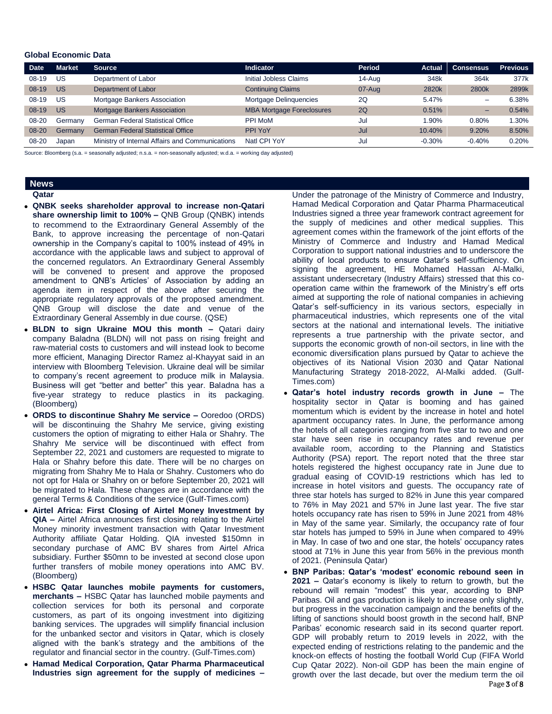## **Global Economic Data**

| <b>Date</b> | <b>Market</b> | <b>Source</b>                                   | <b>Indicator</b>                 | Period | Actual   | <b>Consensus</b>         | <b>Previous</b> |
|-------------|---------------|-------------------------------------------------|----------------------------------|--------|----------|--------------------------|-----------------|
| $08-19$     | US            | Department of Labor                             | Initial Jobless Claims           | 14-Aug | 348k     | 364k                     | 377k            |
| $08-19$     | US            | Department of Labor                             | <b>Continuing Claims</b>         | 07-Aug | 2820k    | 2800k                    | 2899k           |
| $08-19$     | US            | Mortgage Bankers Association                    | Mortgage Delinguencies           | 2Q     | 5.47%    | $\overline{\phantom{0}}$ | 6.38%           |
| $08-19$     | <b>US</b>     | <b>Mortgage Bankers Association</b>             | <b>MBA Mortgage Foreclosures</b> | 2Q     | 0.51%    | -                        | 0.54%           |
| 08-20       | Germany       | <b>German Federal Statistical Office</b>        | <b>PPI MoM</b>                   | Jul    | 1.90%    | 0.80%                    | $1.30\%$        |
| 08-20       | Germany       | <b>German Federal Statistical Office</b>        | PPI YoY                          | Jul    | 10.40%   | 9.20%                    | 8.50%           |
| 08-20       | Japan         | Ministry of Internal Affairs and Communications | Natl CPI YoY                     | Jul    | $-0.30%$ | $-0.40%$                 | 0.20%           |

Source: Bloomberg (s.a. = seasonally adjusted; n.s.a. = non-seasonally adjusted; w.d.a. = working day adjusted)

# **News**

- **Qatar QNBK seeks shareholder approval to increase non-Qatari share ownership limit to 100% –** QNB Group (QNBK) intends to recommend to the Extraordinary General Assembly of the Bank, to approve increasing the percentage of non-Qatari ownership in the Company's capital to 100% instead of 49% in accordance with the applicable laws and subject to approval of the concerned regulators. An Extraordinary General Assembly will be convened to present and approve the proposed amendment to QNB's Articles' of Association by adding an agenda item in respect of the above after securing the appropriate regulatory approvals of the proposed amendment. QNB Group will disclose the date and venue of the Extraordinary General Assembly in due course. (QSE)
	- **BLDN to sign Ukraine MOU this month –** Qatari dairy company Baladna (BLDN) will not pass on rising freight and raw-material costs to customers and will instead look to become more efficient, Managing Director Ramez al-Khayyat said in an interview with Bloomberg Television. Ukraine deal will be similar to company's recent agreement to produce milk in Malaysia. Business will get "better and better" this year. Baladna has a five-year strategy to reduce plastics in its packaging. (Bloomberg)
	- **ORDS to discontinue Shahry Me service –** Ooredoo (ORDS) will be discontinuing the Shahry Me service, giving existing customers the option of migrating to either Hala or Shahry. The Shahry Me service will be discontinued with effect from September 22, 2021 and customers are requested to migrate to Hala or Shahry before this date. There will be no charges on migrating from Shahry Me to Hala or Shahry. Customers who do not opt for Hala or Shahry on or before September 20, 2021 will be migrated to Hala. These changes are in accordance with the general Terms & Conditions of the service (Gulf-Times.com)
	- **Airtel Africa: First Closing of Airtel Money Investment by QIA –** Airtel Africa announces first closing relating to the Airtel Money minority investment transaction with Qatar Investment Authority affiliate Qatar Holding. QIA invested \$150mn in secondary purchase of AMC BV shares from Airtel Africa subsidiary. Further \$50mn to be invested at second close upon further transfers of mobile money operations into AMC BV. (Bloomberg)
	- **HSBC Qatar launches mobile payments for customers, merchants –** HSBC Qatar has launched mobile payments and collection services for both its personal and corporate customers, as part of its ongoing investment into digitizing banking services. The upgrades will simplify financial inclusion for the unbanked sector and visitors in Qatar, which is closely aligned with the bank's strategy and the ambitions of the regulator and financial sector in the country. (Gulf-Times.com)
	- **Hamad Medical Corporation, Qatar Pharma Pharmaceutical Industries sign agreement for the supply of medicines –**

Under the patronage of the Ministry of Commerce and Industry, Hamad Medical Corporation and Qatar Pharma Pharmaceutical Industries signed a three year framework contract agreement for the supply of medicines and other medical supplies. This agreement comes within the framework of the joint efforts of the Ministry of Commerce and Industry and Hamad Medical Corporation to support national industries and to underscore the ability of local products to ensure Qatar's self-sufficiency. On signing the agreement, HE Mohamed Hassan Al-Malki, assistant undersecretary (Industry Affairs) stressed that this cooperation came within the framework of the Ministry's eff orts aimed at supporting the role of national companies in achieving Qatar's self-sufficiency in its various sectors, especially in pharmaceutical industries, which represents one of the vital sectors at the national and international levels. The initiative represents a true partnership with the private sector, and supports the economic growth of non-oil sectors, in line with the economic diversification plans pursued by Qatar to achieve the objectives of its National Vision 2030 and Qatar National Manufacturing Strategy 2018-2022, Al-Malki added. (Gulf-Times.com)

- **Qatar's hotel industry records growth in June –** The hospitality sector in Qatar is booming and has gained momentum which is evident by the increase in hotel and hotel apartment occupancy rates. In June, the performance among the hotels of all categories ranging from five star to two and one star have seen rise in occupancy rates and revenue per available room, according to the Planning and Statistics Authority (PSA) report. The report noted that the three star hotels registered the highest occupancy rate in June due to gradual easing of COVID-19 restrictions which has led to increase in hotel visitors and guests. The occupancy rate of three star hotels has surged to 82% in June this year compared to 76% in May 2021 and 57% in June last year. The five star hotels occupancy rate has risen to 59% in June 2021 from 48% in May of the same year. Similarly, the occupancy rate of four star hotels has jumped to 59% in June when compared to 49% in May. In case of two and one star, the hotels' occupancy rates stood at 71% in June this year from 56% in the previous month of 2021. (Peninsula Qatar)
- **BNP Paribas: Qatar's 'modest' economic rebound seen in 2021 –** Qatar's economy is likely to return to growth, but the rebound will remain "modest" this year, according to BNP Paribas. Oil and gas production is likely to increase only slightly, but progress in the vaccination campaign and the benefits of the lifting of sanctions should boost growth in the second half, BNP Paribas' economic research said in its second quarter report. GDP will probably return to 2019 levels in 2022, with the expected ending of restrictions relating to the pandemic and the knock-on effects of hosting the football World Cup (FIFA World Cup Qatar 2022). Non-oil GDP has been the main engine of growth over the last decade, but over the medium term the oil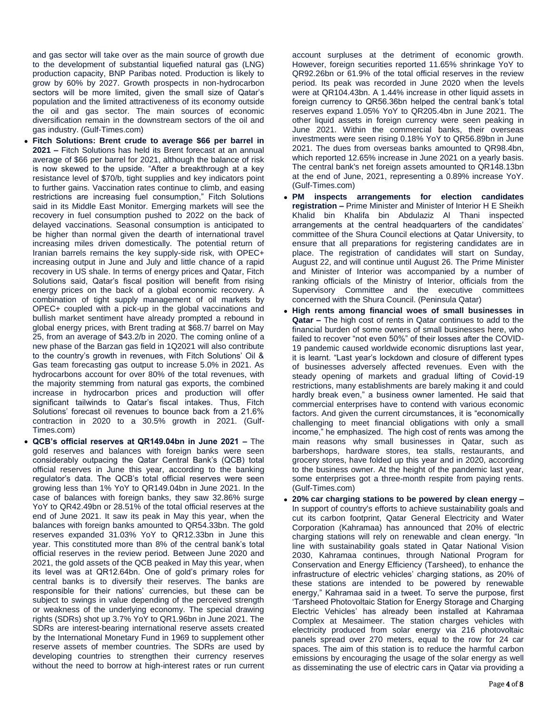and gas sector will take over as the main source of growth due to the development of substantial liquefied natural gas (LNG) production capacity, BNP Paribas noted. Production is likely to grow by 60% by 2027. Growth prospects in non-hydrocarbon sectors will be more limited, given the small size of Qatar's population and the limited attractiveness of its economy outside the oil and gas sector. The main sources of economic diversification remain in the downstream sectors of the oil and gas industry. (Gulf-Times.com)

- **Fitch Solutions: Brent crude to average \$66 per barrel in 2021 –** Fitch Solutions has held its Brent forecast at an annual average of \$66 per barrel for 2021, although the balance of risk is now skewed to the upside. "After a breakthrough at a key resistance level of \$70/b, tight supplies and key indicators point to further gains. Vaccination rates continue to climb, and easing restrictions are increasing fuel consumption," Fitch Solutions said in its Middle East Monitor. Emerging markets will see the recovery in fuel consumption pushed to 2022 on the back of delayed vaccinations. Seasonal consumption is anticipated to be higher than normal given the dearth of international travel increasing miles driven domestically. The potential return of Iranian barrels remains the key supply-side risk, with OPEC+ increasing output in June and July and little chance of a rapid recovery in US shale. In terms of energy prices and Qatar, Fitch Solutions said, Qatar's fiscal position will benefit from rising energy prices on the back of a global economic recovery. A combination of tight supply management of oil markets by OPEC+ coupled with a pick-up in the global vaccinations and bullish market sentiment have already prompted a rebound in global energy prices, with Brent trading at \$68.7/ barrel on May 25, from an average of \$43.2/b in 2020. The coming online of a new phase of the Barzan gas field in 1Q2021 will also contribute to the country's growth in revenues, with Fitch Solutions' Oil & Gas team forecasting gas output to increase 5.0% in 2021. As hydrocarbons account for over 80% of the total revenues, with the majority stemming from natural gas exports, the combined increase in hydrocarbon prices and production will offer significant tailwinds to Qatar's fiscal intakes. Thus, Fitch Solutions' forecast oil revenues to bounce back from a 21.6% contraction in 2020 to a 30.5% growth in 2021. (Gulf-Times.com)
- **QCB's official reserves at QR149.04bn in June 2021 –** The gold reserves and balances with foreign banks were seen considerably outpacing the Qatar Central Bank's (QCB) total official reserves in June this year, according to the banking regulator's data. The QCB's total official reserves were seen growing less than 1% YoY to QR149.04bn in June 2021. In the case of balances with foreign banks, they saw 32.86% surge YoY to QR42.49bn or 28.51% of the total official reserves at the end of June 2021. It saw its peak in May this year, when the balances with foreign banks amounted to QR54.33bn. The gold reserves expanded 31.03% YoY to QR12.33bn in June this year. This constituted more than 8% of the central bank's total official reserves in the review period. Between June 2020 and 2021, the gold assets of the QCB peaked in May this year, when its level was at QR12.64bn. One of gold's primary roles for central banks is to diversify their reserves. The banks are responsible for their nations' currencies, but these can be subject to swings in value depending of the perceived strength or weakness of the underlying economy. The special drawing rights (SDRs) shot up 3.7% YoY to QR1.96bn in June 2021. The SDRs are interest-bearing international reserve assets created by the International Monetary Fund in 1969 to supplement other reserve assets of member countries. The SDRs are used by developing countries to strengthen their currency reserves without the need to borrow at high-interest rates or run current

account surpluses at the detriment of economic growth. However, foreign securities reported 11.65% shrinkage YoY to QR92.26bn or 61.9% of the total official reserves in the review period. Its peak was recorded in June 2020 when the levels were at QR104.43bn. A 1.44% increase in other liquid assets in foreign currency to QR56.36bn helped the central bank's total reserves expand 1.05% YoY to QR205.4bn in June 2021. The other liquid assets in foreign currency were seen peaking in June 2021. Within the commercial banks, their overseas investments were seen rising 0.18% YoY to QR56.89bn in June 2021. The dues from overseas banks amounted to QR98.4bn, which reported 12.65% increase in June 2021 on a yearly basis. The central bank's net foreign assets amounted to QR148.13bn at the end of June, 2021, representing a 0.89% increase YoY. (Gulf-Times.com)

- **PM inspects arrangements for election candidates registration –** Prime Minister and Minister of Interior H E Sheikh Khalid bin Khalifa bin Abdulaziz Al Thani inspected arrangements at the central headquarters of the candidates' committee of the Shura Council elections at Qatar University, to ensure that all preparations for registering candidates are in place. The registration of candidates will start on Sunday, August 22, and will continue until August 26. The Prime Minister and Minister of Interior was accompanied by a number of ranking officials of the Ministry of Interior, officials from the Supervisory Committee and the executive committees concerned with the Shura Council. (Peninsula Qatar)
- **High rents among financial woes of small businesses in Qatar –** The high cost of rents in Qatar continues to add to the financial burden of some owners of small businesses here, who failed to recover "not even 50%" of their losses after the COVID-19 pandemic caused worldwide economic disruptions last year, it is learnt. "Last year's lockdown and closure of different types of businesses adversely affected revenues. Even with the steady opening of markets and gradual lifting of Covid-19 restrictions, many establishments are barely making it and could hardly break even," a business owner lamented. He said that commercial enterprises have to contend with various economic factors. And given the current circumstances, it is "economically challenging to meet financial obligations with only a small income," he emphasized. The high cost of rents was among the main reasons why small businesses in Qatar, such as barbershops, hardware stores, tea stalls, restaurants, and grocery stores, have folded up this year and in 2020, according to the business owner. At the height of the pandemic last year, some enterprises got a three-month respite from paying rents. (Gulf-Times.com)
- **20% car charging stations to be powered by clean energy –** In support of country's efforts to achieve sustainability goals and cut its carbon footprint, Qatar General Electricity and Water Corporation (Kahramaa) has announced that 20% of electric charging stations will rely on renewable and clean energy. "In line with sustainability goals stated in Qatar National Vision 2030, Kahramaa continues, through National Program for Conservation and Energy Efficiency (Tarsheed), to enhance the infrastructure of electric vehicles' charging stations, as 20% of these stations are intended to be powered by renewable energy," Kahramaa said in a tweet. To serve the purpose, first 'Tarsheed Photovoltaic Station for Energy Storage and Charging Electric Vehicles' has already been installed at Kahramaa Complex at Mesaimeer. The station charges vehicles with electricity produced from solar energy via 216 photovoltaic panels spread over 270 meters, equal to the row for 24 car spaces. The aim of this station is to reduce the harmful carbon emissions by encouraging the usage of the solar energy as well as disseminating the use of electric cars in Qatar via providing a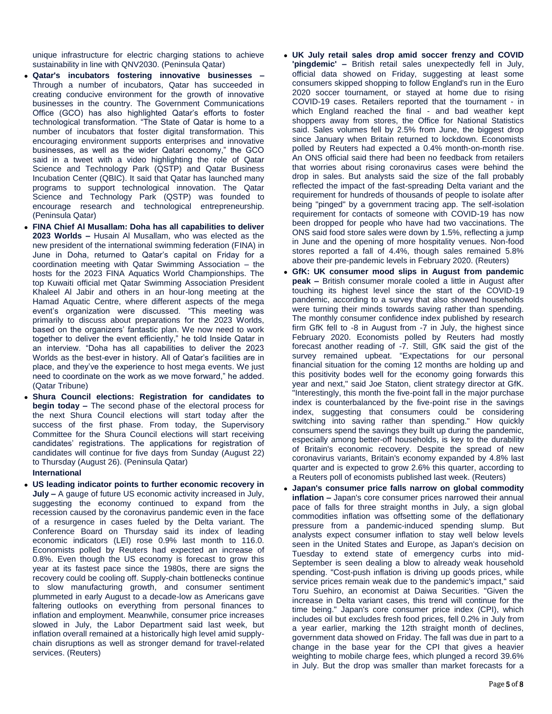unique infrastructure for electric charging stations to achieve sustainability in line with QNV2030. (Peninsula Qatar)

- **Qatar's incubators fostering innovative businesses –** Through a number of incubators, Qatar has succeeded in creating conducive environment for the growth of innovative businesses in the country. The Government Communications Office (GCO) has also highlighted Qatar's efforts to foster technological transformation. "The State of Qatar is home to a number of incubators that foster digital transformation. This encouraging environment supports enterprises and innovative businesses, as well as the wider Qatari economy," the GCO said in a tweet with a video highlighting the role of Qatar Science and Technology Park (QSTP) and Qatar Business Incubation Center (QBIC). It said that Qatar has launched many programs to support technological innovation. The Qatar Science and Technology Park (QSTP) was founded to encourage research and technological entrepreneurship. (Peninsula Qatar)
- **FINA Chief Al Musallam: Doha has all capabilities to deliver 2023 Worlds –** Husain Al Musallam, who was elected as the new president of the international swimming federation (FINA) in June in Doha, returned to Qatar's capital on Friday for a coordination meeting with Qatar Swimming Association – the hosts for the 2023 FINA Aquatics World Championships. The top Kuwaiti official met Qatar Swimming Association President Khaleel Al Jabir and others in an hour-long meeting at the Hamad Aquatic Centre, where different aspects of the mega event's organization were discussed. "This meeting was primarily to discuss about preparations for the 2023 Worlds, based on the organizers' fantastic plan. We now need to work together to deliver the event efficiently," he told Inside Qatar in an interview. "Doha has all capabilities to deliver the 2023 Worlds as the best-ever in history. All of Qatar's facilities are in place, and they've the experience to host mega events. We just need to coordinate on the work as we move forward," he added. (Qatar Tribune)
- **Shura Council elections: Registration for candidates to begin today –** The second phase of the electoral process for the next Shura Council elections will start today after the success of the first phase. From today, the Supervisory Committee for the Shura Council elections will start receiving candidates' registrations. The applications for registration of candidates will continue for five days from Sunday (August 22) to Thursday (August 26). (Peninsula Qatar)

## **International**

 **US leading indicator points to further economic recovery in July –** A gauge of future US economic activity increased in July, suggesting the economy continued to expand from the recession caused by the coronavirus pandemic even in the face of a resurgence in cases fueled by the Delta variant. The Conference Board on Thursday said its index of leading economic indicators (LEI) rose 0.9% last month to 116.0. Economists polled by Reuters had expected an increase of 0.8%. Even though the US economy is forecast to grow this year at its fastest pace since the 1980s, there are signs the recovery could be cooling off. Supply-chain bottlenecks continue to slow manufacturing growth, and consumer sentiment plummeted in early August to a decade-low as Americans gave faltering outlooks on everything from personal finances to inflation and employment. Meanwhile, consumer price increases slowed in July, the Labor Department said last week, but inflation overall remained at a historically high level amid supplychain disruptions as well as stronger demand for travel-related services. (Reuters)

- **UK July retail sales drop amid soccer frenzy and COVID 'pingdemic' –** British retail sales unexpectedly fell in July, official data showed on Friday, suggesting at least some consumers skipped shopping to follow England's run in the Euro 2020 soccer tournament, or stayed at home due to rising COVID-19 cases. Retailers reported that the tournament - in which England reached the final - and bad weather kept shoppers away from stores, the Office for National Statistics said. Sales volumes fell by 2.5% from June, the biggest drop since January when Britain returned to lockdown. Economists polled by Reuters had expected a 0.4% month-on-month rise. An ONS official said there had been no feedback from retailers that worries about rising coronavirus cases were behind the drop in sales. But analysts said the size of the fall probably reflected the impact of the fast-spreading Delta variant and the requirement for hundreds of thousands of people to isolate after being "pinged" by a government tracing app. The self-isolation requirement for contacts of someone with COVID-19 has now been dropped for people who have had two vaccinations. The ONS said food store sales were down by 1.5%, reflecting a jump in June and the opening of more hospitality venues. Non-food stores reported a fall of 4.4%, though sales remained 5.8% above their pre-pandemic levels in February 2020. (Reuters)
- **GfK: UK consumer mood slips in August from pandemic peak –** British consumer morale cooled a little in August after touching its highest level since the start of the COVID-19 pandemic, according to a survey that also showed households were turning their minds towards saving rather than spending. The monthly consumer confidence index published by research firm GfK fell to -8 in August from -7 in July, the highest since February 2020. Economists polled by Reuters had mostly forecast another reading of -7. Still, GfK said the gist of the survey remained upbeat. "Expectations for our personal financial situation for the coming 12 months are holding up and this positivity bodes well for the economy going forwards this year and next," said Joe Staton, client strategy director at GfK. "Interestingly, this month the five-point fall in the major purchase index is counterbalanced by the five-point rise in the savings index, suggesting that consumers could be considering switching into saving rather than spending." How quickly consumers spend the savings they built up during the pandemic, especially among better-off households, is key to the durability of Britain's economic recovery. Despite the spread of new coronavirus variants, Britain's economy expanded by 4.8% last quarter and is expected to grow 2.6% this quarter, according to a Reuters poll of economists published last week. (Reuters)
- **Japan's consumer price falls narrow on global commodity inflation –** Japan's core consumer prices narrowed their annual pace of falls for three straight months in July, a sign global commodities inflation was offsetting some of the deflationary pressure from a pandemic-induced spending slump. But analysts expect consumer inflation to stay well below levels seen in the United States and Europe, as Japan's decision on Tuesday to extend state of emergency curbs into mid-September is seen dealing a blow to already weak household spending. "Cost-push inflation is driving up goods prices, while service prices remain weak due to the pandemic's impact," said Toru Suehiro, an economist at Daiwa Securities. "Given the increase in Delta variant cases, this trend will continue for the time being." Japan's core consumer price index (CPI), which includes oil but excludes fresh food prices, fell 0.2% in July from a year earlier, marking the 12th straight month of declines, government data showed on Friday. The fall was due in part to a change in the base year for the CPI that gives a heavier weighting to mobile charge fees, which plunged a record 39.6% in July. But the drop was smaller than market forecasts for a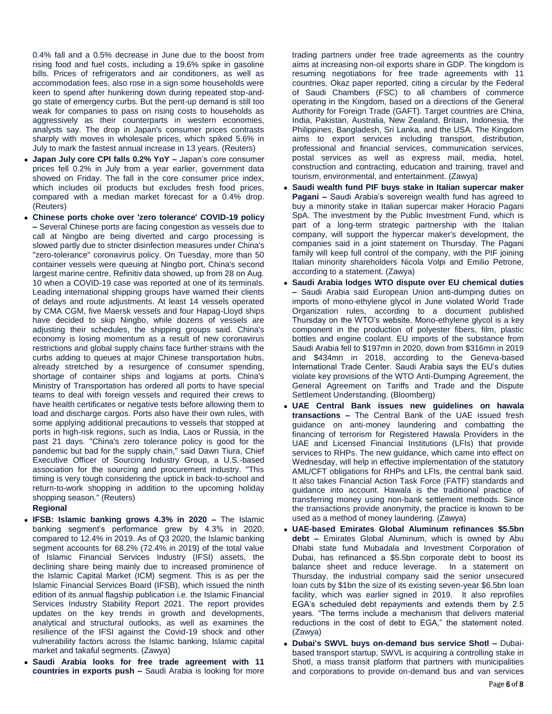0.4% fall and a 0.5% decrease in June due to the boost from rising food and fuel costs, including a 19.6% spike in gasoline bills. Prices of refrigerators and air conditioners, as well as accommodation fees, also rose in a sign some households were keen to spend after hunkering down during repeated stop-andgo state of emergency curbs. But the pent-up demand is still too weak for companies to pass on rising costs to households as aggressively as their counterparts in western economies, analysts say. The drop in Japan's consumer prices contrasts sharply with moves in wholesale prices, which spiked 5.6% in July to mark the fastest annual increase in 13 years. (Reuters)

- **Japan July core CPI falls 0.2% YoY –** Japan's core consumer prices fell 0.2% in July from a year earlier, government data showed on Friday. The fall in the core consumer price index, which includes oil products but excludes fresh food prices, compared with a median market forecast for a 0.4% drop. (Reuters)
- **Chinese ports choke over 'zero tolerance' COVID-19 policy –** Several Chinese ports are facing congestion as vessels due to call at Ningbo are being diverted and cargo processing is slowed partly due to stricter disinfection measures under China's "zero-tolerance" coronavirus policy. On Tuesday, more than 50 container vessels were queuing at Ningbo port, China's second largest marine centre, Refinitiv data showed, up from 28 on Aug. 10 when a COVID-19 case was reported at one of its terminals. Leading international shipping groups have warned their clients of delays and route adjustments. At least 14 vessels operated by CMA CGM, five Maersk vessels and four Hapag-Lloyd ships have decided to skip Ningbo, while dozens of vessels are adjusting their schedules, the shipping groups said. China's economy is losing momentum as a result of new coronavirus restrictions and global supply chains face further strains with the curbs adding to queues at major Chinese transportation hubs, already stretched by a resurgence of consumer spending, shortage of container ships and logjams at ports. China's Ministry of Transportation has ordered all ports to have special teams to deal with foreign vessels and required their crews to have health certificates or negative tests before allowing them to load and discharge cargos. Ports also have their own rules, with some applying additional precautions to vessels that stopped at ports in high-risk regions, such as India, Laos or Russia, in the past 21 days. "China's zero tolerance policy is good for the pandemic but bad for the supply chain," said Dawn Tiura, Chief Executive Officer of Sourcing Industry Group, a U.S.-based association for the sourcing and procurement industry. "This timing is very tough considering the uptick in back-to-school and return-to-work shopping in addition to the upcoming holiday shopping season." (Reuters)

# **Regional**

- **IFSB: Islamic banking grows 4.3% in 2020 –** The Islamic banking segment's performance grew by 4.3% in 2020, compared to 12.4% in 2019. As of Q3 2020, the Islamic banking segment accounts for 68.2% (72.4% in 2019) of the total value of Islamic Financial Services Industry (IFSI) assets, the declining share being mainly due to increased prominence of the Islamic Capital Market (ICM) segment. This is as per the Islamic Financial Services Board (IFSB), which issued the ninth edition of its annual flagship publication i.e. the Islamic Financial Services Industry Stability Report 2021. The report provides updates on the key trends in growth and developments, analytical and structural outlooks, as well as examines the resilience of the IFSI against the Covid-19 shock and other vulnerability factors across the Islamic banking, Islamic capital market and takaful segments. (Zawya)
- **Saudi Arabia looks for free trade agreement with 11 countries in exports push –** Saudi Arabia is looking for more

trading partners under free trade agreements as the country aims at increasing non-oil exports share in GDP. The kingdom is resuming negotiations for free trade agreements with 11 countries, Okaz paper reported, citing a circular by the Federal of Saudi Chambers (FSC) to all chambers of commerce operating in the Kingdom, based on a directions of the General Authority for Foreign Trade (GAFT). Target countries are China, India, Pakistan, Australia, New Zealand, Britain, Indonesia, the Philippines, Bangladesh, Sri Lanka, and the USA. The Kingdom aims to export services including transport, distribution, professional and financial services, communication services, postal services as well as express mail, media, hotel, construction and contracting, education and training, travel and tourism, environmental, and entertainment. (Zawya)

- **Saudi wealth fund PIF buys stake in Italian supercar maker Pagani –** Saudi Arabia's sovereign wealth fund has agreed to buy a minority stake in Italian supercar maker Horacio Pagani SpA. The investment by the Public Investment Fund, which is part of a long-term strategic partnership with the Italian company, will support the hypercar maker's development, the companies said in a joint statement on Thursday. The Pagani family will keep full control of the company, with the PIF joining Italian minority shareholders Nicola Volpi and Emilio Petrone, according to a statement. (Zawya)
- **Saudi Arabia lodges WTO dispute over EU chemical duties –** Saudi Arabia said European Union anti-dumping duties on imports of mono-ethylene glycol in June violated World Trade Organization rules, according to a document published Thursday on the WTO's website. Mono-ethylene glycol is a key component in the production of polyester fibers, film, plastic bottles and engine coolant. EU imports of the substance from Saudi Arabia fell to \$197mn in 2020, down from \$316mn in 2019 and \$434mn in 2018, according to the Geneva-based International Trade Center. Saudi Arabia says the EU's duties violate key provisions of the WTO Anti-Dumping Agreement, the General Agreement on Tariffs and Trade and the Dispute Settlement Understanding. (Bloomberg)
- **UAE Central Bank issues new guidelines on hawala transactions –** The Central Bank of the UAE issued fresh guidance on anti-money laundering and combatting the financing of terrorism for Registered Hawala Providers in the UAE and Licensed Financial Institutions (LFIs) that provide services to RHPs. The new guidance, which came into effect on Wednesday, will help in effective implementation of the statutory AML/CFT obligations for RHPs and LFIs, the central bank said. It also takes Financial Action Task Force (FATF) standards and guidance into account. Hawala is the traditional practice of transferring money using non-bank settlement methods. Since the transactions provide anonymity, the practice is known to be used as a method of money laundering. (Zawya)
- **UAE-based Emirates Global Aluminum refinances \$5.5bn debt –** Emirates Global Aluminum, which is owned by Abu Dhabi state fund Mubadala and Investment Corporation of Dubai, has refinanced a \$5.5bn corporate debt to boost its balance sheet and reduce leverage. In a statement on Thursday, the industrial company said the senior unsecured loan cuts by \$1bn the size of its existing seven-year \$6.5bn loan facility, which was earlier signed in 2019. It also reprofiles EGA's scheduled debt repayments and extends them by 2.5 years. "The terms include a mechanism that delivers material reductions in the cost of debt to EGA," the statement noted. (Zawya)
- **Dubai's SWVL buys on-demand bus service Shotl –** Dubaibased transport startup, SWVL is acquiring a controlling stake in Shotl, a mass transit platform that partners with municipalities and corporations to provide on-demand bus and van services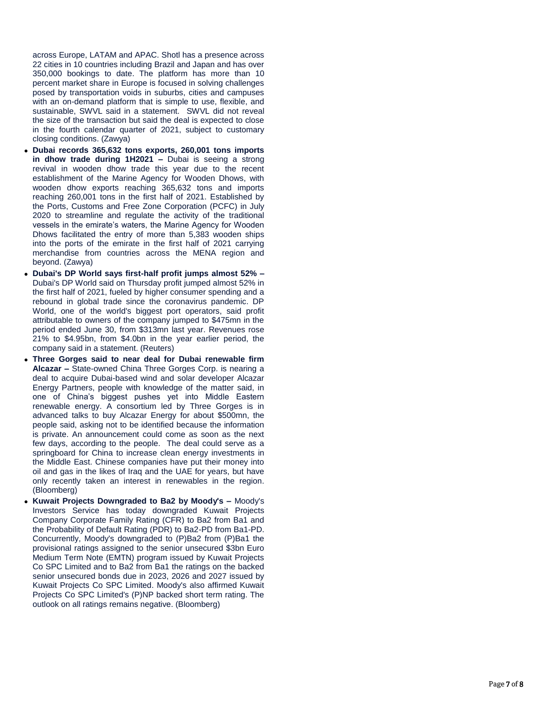across Europe, LATAM and APAC. Shotl has a presence across 22 cities in 10 countries including Brazil and Japan and has over 350,000 bookings to date. The platform has more than 10 percent market share in Europe is focused in solving challenges posed by transportation voids in suburbs, cities and campuses with an on -demand platform that is simple to use, flexible, and sustainable, SWVL said in a statement. SWVL did not reveal the size of the transaction but said the deal is expected to close in the fourth calendar quarter of 2021, subject to customary closing conditions. (Zawya)

- **Dubai records 365,632 tons exports, 260,001 tons imports in dhow trade during 1H2021 - Dubai is seeing a strong** revival in wooden dhow trade this year due to the recent establishment of the Marine Agency for Wooden Dhows, with wooden dhow exports reaching 365,632 tons and imports reaching 260,001 tons in the first half of 2021. Established by the Ports, Customs and Free Zone Corporation (PCFC) in July 2020 to streamline and regulate the activity of the traditional vessels in the emirate's waters, the Marine Agency for Wooden Dhows facilitated the entry of more than 5,383 wooden ships into the ports of the emirate in the first half of 2021 carrying merchandise from countries across the MENA region and beyond. (Zawya)
- **Dubai's DP World says first-half profit jumps almost 52% -**Dubai's DP World said on Thursday profit jumped almost 52% in the first half of 2021, fueled by higher consumer spending and a rebound in global trade since the coronavirus pandemic. DP World, one of the world's biggest port operators, said profit attributable to owners of the company jumped to \$475mn in the period ended June 30, from \$313mn last year. Revenues rose 21% to \$4.95bn, from \$4.0bn in the year earlier period, the company said in a statement. (Reuters)
- **Three Gorges said to near deal for Dubai renewable firm**  Alcazar - State-owned China Three Gorges Corp. is nearing a deal to acquire Dubai -based wind and solar developer Alcazar Energy Partners, people with knowledge of the matter said, in one of China's biggest pushes yet into Middle Eastern renewable energy. A consortium led by Three Gorges is in advanced talks to buy Alcazar Energy for about \$500mn, the people said, asking not to be identified because the information is private. An announcement could come as soon as the next few days, according to the people. The deal could serve as a springboard for China to increase clean energy investments in the Middle East. Chinese companies have put their money into oil and gas in the likes of Iraq and the UAE for years, but have only recently taken an interest in renewables in the region. (Bloomberg)
- **Kuwait Projects Downgraded to Ba2 by Moody's –** Moody's Investors Service has today downgraded Kuwait Projects Company Corporate Family Rating (CFR) to Ba2 from Ba1 and the Probability of Default Rating (PDR) to Ba2 -PD from Ba1 -PD. Concurrently, Moody's downgraded to (P)Ba2 from (P)Ba1 the provisional ratings assigned to the senior unsecured \$3bn Euro Medium Term Note (EMTN) program issued by Kuwait Projects Co SPC Limited and to Ba2 from Ba1 the ratings on the backed senior unsecured bonds due in 2023, 2026 and 2027 issued by Kuwait Projects Co SPC Limited. Moody's also affirmed Kuwait Projects Co SPC Limited's (P)NP backed short term rating. The outlook on all ratings remains negative. (Bloomberg)